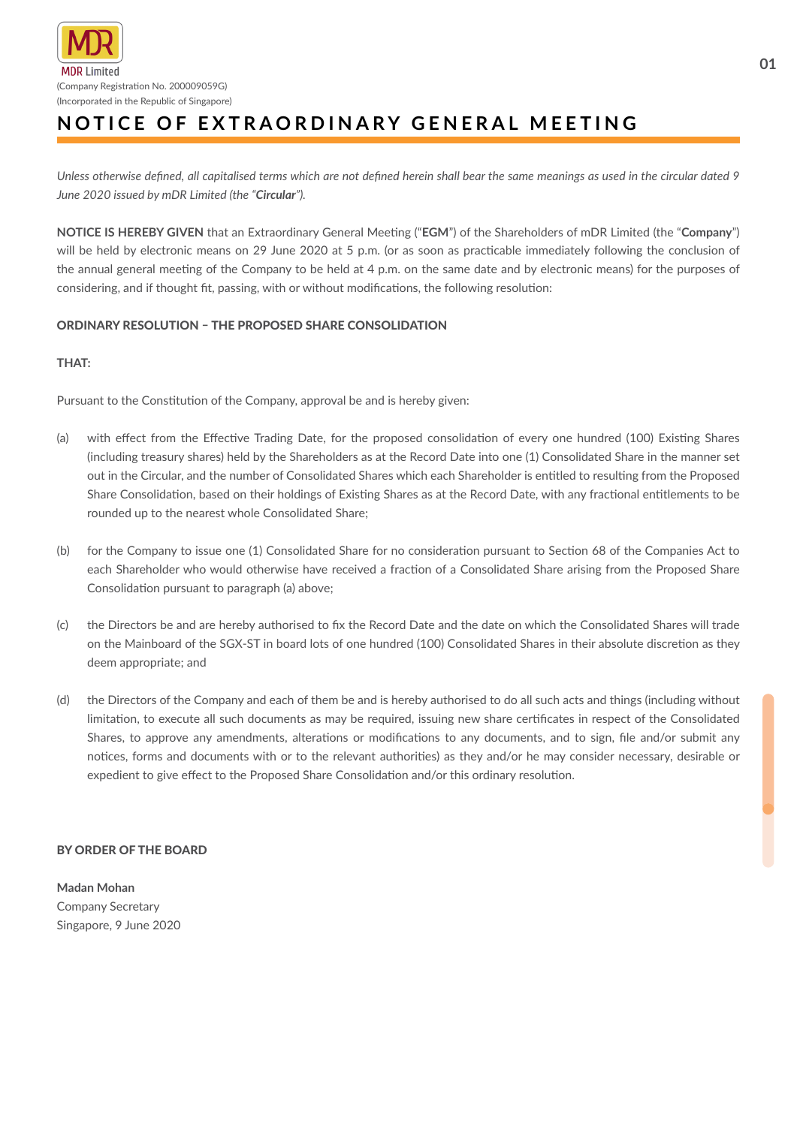

## **NOTICE OF EXTRAORDINARY GENERAL MEETING**

*Unless otherwise defined, all capitalised terms which are not defined herein shall bear the same meanings as used in the circular dated 9 June 2020 issued by mDR Limited (the "Circular").*

**NOTICE IS HEREBY GIVEN** that an Extraordinary General Meeting ("**EGM**") of the Shareholders of mDR Limited (the "**Company**") will be held by electronic means on 29 June 2020 at 5 p.m. (or as soon as practicable immediately following the conclusion of the annual general meeting of the Company to be held at 4 p.m. on the same date and by electronic means) for the purposes of considering, and if thought fit, passing, with or without modifications, the following resolution:

## ORDINARY RESOLUTION – THE PROPOSED SHARE CONSOLIDATION

## **THAT:**

Pursuant to the Constitution of the Company, approval be and is hereby given:

- (a) with effect from the Effective Trading Date, for the proposed consolidation of every one hundred (100) Existing Shares (including treasury shares) held by the Shareholders as at the Record Date into one (1) Consolidated Share in the manner set out in the Circular, and the number of Consolidated Shares which each Shareholder is entitled to resulting from the Proposed Share Consolidation, based on their holdings of Existing Shares as at the Record Date, with any fractional entitlements to be rounded up to the nearest whole Consolidated Share;
- (b) for the Company to issue one (1) Consolidated Share for no consideration pursuant to Section 68 of the Companies Act to each Shareholder who would otherwise have received a fraction of a Consolidated Share arising from the Proposed Share Consolidation pursuant to paragraph (a) above;
- (c) the Directors be and are hereby authorised to fix the Record Date and the date on which the Consolidated Shares will trade on the Mainboard of the SGX-ST in board lots of one hundred (100) Consolidated Shares in their absolute discretion as they deem appropriate; and
- (d) the Directors of the Company and each of them be and is hereby authorised to do all such acts and things (including without limitation, to execute all such documents as may be required, issuing new share certificates in respect of the Consolidated Shares, to approve any amendments, alterations or modifications to any documents, and to sign, file and/or submit any notices, forms and documents with or to the relevant authorities) as they and/or he may consider necessary, desirable or expedient to give effect to the Proposed Share Consolidation and/or this ordinary resolution.

## BY ORDER OF THE BOARD

**Madan Mohan** Company Secretary Singapore, 9 June 2020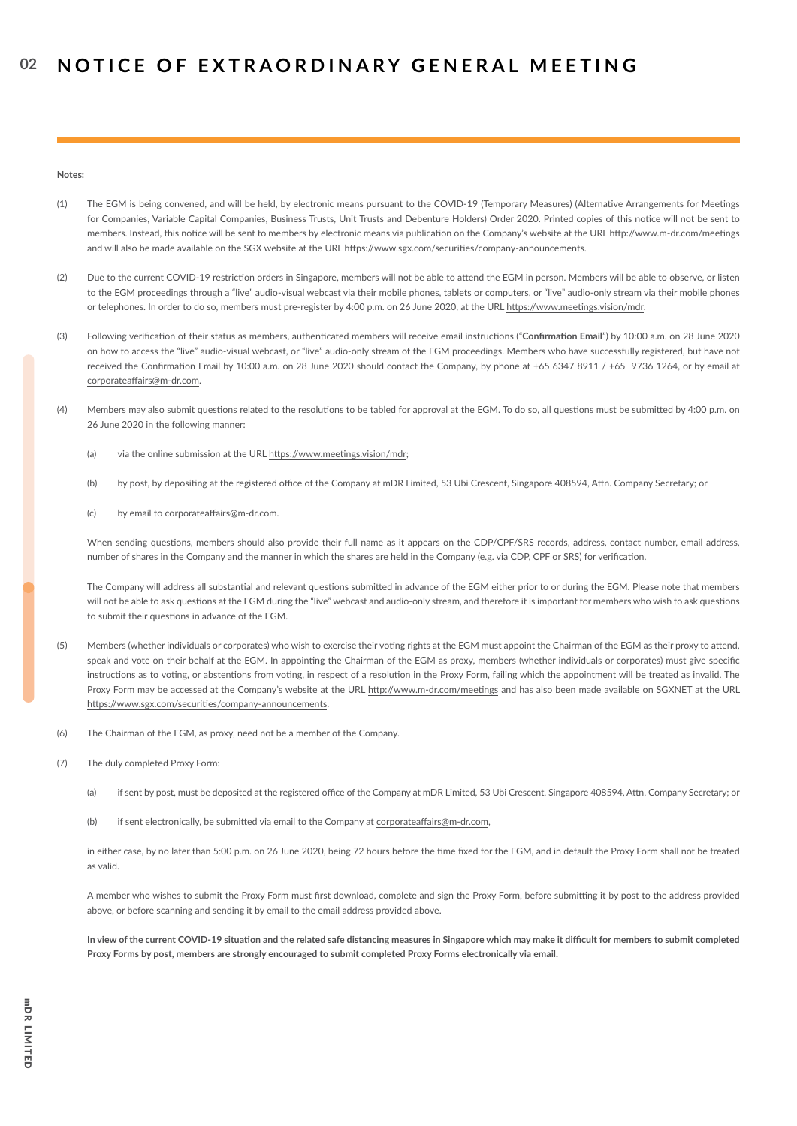**Notes:** 

- (1) The EGM is being convened, and will be held, by electronic means pursuant to the COVID-19 (Temporary Measures) (Alternative Arrangements for Meetings for Companies, Variable Capital Companies, Business Trusts, Unit Trusts and Debenture Holders) Order 2020. Printed copies of this notice will not be sent to members. Instead, this notice will be sent to members by electronic means via publication on the Company's website at the URL http://www.m-dr.com/meetings and will also be made available on the SGX website at the URL https://www.sgx.com/securities/company-announcements.
- (2) Due to the current COVID-19 restriction orders in Singapore, members will not be able to attend the EGM in person. Members will be able to observe, or listen to the EGM proceedings through a "live" audio-visual webcast via their mobile phones, tablets or computers, or "live" audio-only stream via their mobile phones or telephones. In order to do so, members must pre-register by 4:00 p.m. on 26 June 2020, at the URL https://www.meetings.vision/mdr.
- (3) Following verification of their status as members, authenticated members will receive email instructions ("**Confirmation Email**") by 10:00 a.m. on 28 June 2020 on how to access the "live" audio-visual webcast, or "live" audio-only stream of the EGM proceedings. Members who have successfully registered, but have not received the Confirmation Email by 10:00 a.m. on 28 June 2020 should contact the Company, by phone at +65 6347 8911 / +65 9736 1264, or by email at corporateaffairs@m-dr.com.
- (4) Members may also submit questions related to the resolutions to be tabled for approval at the EGM. To do so, all questions must be submitted by 4:00 p.m. on 26 June 2020 in the following manner:
	- (a) via the online submission at the URL https://www.meetings.vision/mdr;
	- (b) by post, by depositing at the registered office of the Company at mDR Limited, 53 Ubi Crescent, Singapore 408594, Attn. Company Secretary; or
	- (c) by email to corporateaffairs@m-dr.com.

When sending questions, members should also provide their full name as it appears on the CDP/CPF/SRS records, address, contact number, email address, number of shares in the Company and the manner in which the shares are held in the Company (e.g. via CDP, CPF or SRS) for verification.

The Company will address all substantial and relevant questions submitted in advance of the EGM either prior to or during the EGM. Please note that members will not be able to ask questions at the EGM during the "live" webcast and audio-only stream, and therefore it is important for members who wish to ask questions to submit their questions in advance of the EGM.

- (5) Members (whether individuals or corporates) who wish to exercise their voting rights at the EGM must appoint the Chairman of the EGM as their proxy to attend, speak and vote on their behalf at the EGM. In appointing the Chairman of the EGM as proxy, members (whether individuals or corporates) must give specific instructions as to voting, or abstentions from voting, in respect of a resolution in the Proxy Form, failing which the appointment will be treated as invalid. The Proxy Form may be accessed at the Company's website at the URL http://www.m-dr.com/meetings and has also been made available on SGXNET at the URL https://www.sgx.com/securities/company-announcements.
- (6) The Chairman of the EGM, as proxy, need not be a member of the Company.
- (7) The duly completed Proxy Form:
	- (a) if sent by post, must be deposited at the registered office of the Company at mDR Limited, 53 Ubi Crescent, Singapore 408594, Attn. Company Secretary; or
	- (b) if sent electronically, be submitted via email to the Company at corporateaffairs@m-dr.com,

in either case, by no later than 5:00 p.m. on 26 June 2020, being 72 hours before the time fixed for the EGM, and in default the Proxy Form shall not be treated as valid.

A member who wishes to submit the Proxy Form must first download, complete and sign the Proxy Form, before submitting it by post to the address provided above, or before scanning and sending it by email to the email address provided above.

**In view of the current COVID-19 situation and the related safe distancing measures in Singapore which may make it difficult for members to submit completed Proxy Forms by post, members are strongly encouraged to submit completed Proxy Forms electronically via email.**